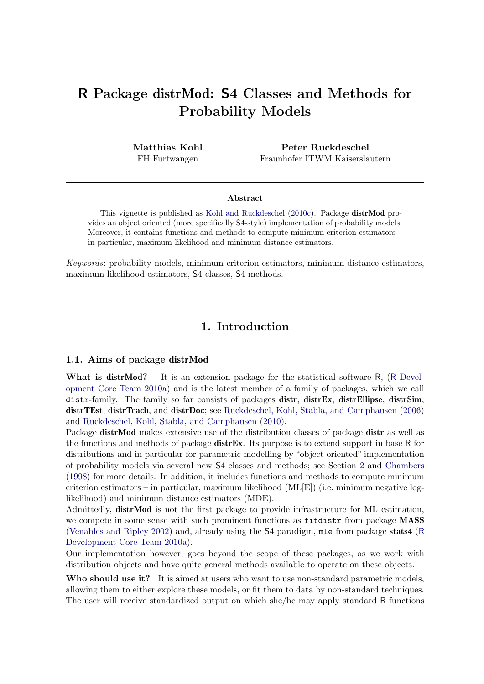# R Package distrMod: S4 Classes and Methods for Probability Models

Matthias Kohl FH Furtwangen

Peter Ruckdeschel Fraunhofer ITWM Kaiserslautern

#### Abstract

This vignette is published as [Kohl and Ruckdeschel](#page-23-0) [\(2010c\)](#page-23-0). Package distrMod provides an object oriented (more specifically S4-style) implementation of probability models. Moreover, it contains functions and methods to compute minimum criterion estimators – in particular, maximum likelihood and minimum distance estimators.

Keywords: probability models, minimum criterion estimators, minimum distance estimators, maximum likelihood estimators, S4 classes, S4 methods.

# 1. Introduction

#### 1.1. Aims of package distrMod

What is distrMod? It is an extension package for the statistical software R, (R [Devel](#page-23-1)[opment Core Team](#page-23-1) [2010a\)](#page-23-1) and is the latest member of a family of packages, which we call distr-family. The family so far consists of packages distr, distrEx, distrEllipse, distrSim, distrTEst, distrTeach, and distrDoc; see [Ruckdeschel, Kohl, Stabla, and Camphausen](#page-24-0) [\(2006\)](#page-24-0) and [Ruckdeschel, Kohl, Stabla, and Camphausen](#page-24-1) [\(2010\)](#page-24-1).

Package distrMod makes extensive use of the distribution classes of package distr as well as the functions and methods of package  $\text{distrEx}$ . Its purpose is to extend support in base R for distributions and in particular for parametric modelling by "object oriented" implementation of probability models via several new S4 classes and methods; see Section [2](#page-3-0) and [Chambers](#page-23-2) [\(1998\)](#page-23-2) for more details. In addition, it includes functions and methods to compute minimum criterion estimators – in particular, maximum likelihood (ML[E]) (i.e. minimum negative loglikelihood) and minimum distance estimators (MDE).

Admittedly, distrMod is not the first package to provide infrastructure for ML estimation, we compete in some sense with such prominent functions as fitdistr from package MASS [\(Venables and Ripley](#page-24-2) [2002\)](#page-24-2) and, already using the S4 paradigm, mle from package stats4 ([R](#page-23-1) [Development Core Team](#page-23-1) [2010a\)](#page-23-1).

Our implementation however, goes beyond the scope of these packages, as we work with distribution objects and have quite general methods available to operate on these objects.

Who should use it? It is aimed at users who want to use non-standard parametric models, allowing them to either explore these models, or fit them to data by non-standard techniques. The user will receive standardized output on which she/he may apply standard R functions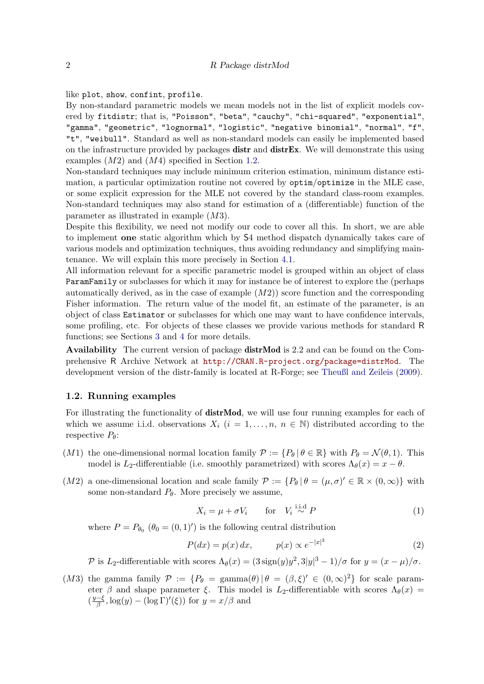#### like plot, show, confint, profile.

By non-standard parametric models we mean models not in the list of explicit models covered by fitdistr; that is, "Poisson", "beta", "cauchy", "chi-squared", "exponential", "gamma", "geometric", "lognormal", "logistic", "negative binomial", "normal", "f", "t", "weibull". Standard as well as non-standard models can easily be implemented based on the infrastructure provided by packages distr and distrEx. We will demonstrate this using examples  $(M2)$  and  $(M4)$  specified in Section [1.2.](#page-1-0)

Non-standard techniques may include minimum criterion estimation, minimum distance estimation, a particular optimization routine not covered by optim/optimize in the MLE case, or some explicit expression for the MLE not covered by the standard class-room examples. Non-standard techniques may also stand for estimation of a (differentiable) function of the parameter as illustrated in example (M3).

Despite this flexibility, we need not modify our code to cover all this. In short, we are able to implement one static algorithm which by S4 method dispatch dynamically takes care of various models and optimization techniques, thus avoiding redundancy and simplifying maintenance. We will explain this more precisely in Section [4.1.](#page-14-0)

All information relevant for a specific parametric model is grouped within an object of class ParamFamily or subclasses for which it may for instance be of interest to explore the (perhaps automatically derived, as in the case of example  $(M2)$ ) score function and the corresponding Fisher information. The return value of the model fit, an estimate of the parameter, is an object of class Estimator or subclasses for which one may want to have confidence intervals, some profiling, etc. For objects of these classes we provide various methods for standard R functions; see Sections [3](#page-4-0) and [4](#page-14-1) for more details.

Availability The current version of package distrMod is 2.2 and can be found on the Comprehensive R Archive Network at <http://CRAN.R-project.org/package=distrMod>. The development version of the distr-family is located at R-Forge; see [Theußl and Zeileis](#page-24-3) [\(2009\)](#page-24-3).

#### <span id="page-1-0"></span>1.2. Running examples

For illustrating the functionality of **distrMod**, we will use four running examples for each of which we assume i.i.d. observations  $X_i$   $(i = 1, \ldots, n, n \in \mathbb{N})$  distributed according to the respective  $P_{\theta}$ :

- (M1) the one-dimensional normal location family  $\mathcal{P} := \{P_\theta | \theta \in \mathbb{R}\}\$  with  $P_\theta = \mathcal{N}(\theta, 1)$ . This model is L<sub>2</sub>-differentiable (i.e. smoothly parametrized) with scores  $\Lambda_{\theta}(x) = x - \theta$ .
- (M2) a one-dimensional location and scale family  $\mathcal{P} := \{P_\theta | \theta = (\mu, \sigma)' \in \mathbb{R} \times (0, \infty)\}\$  with some non-standard  $P_{\theta}$ . More precisely we assume,

$$
X_i = \mu + \sigma V_i \qquad \text{for} \quad V_i \stackrel{\text{i.i.d}}{\sim} P \tag{1}
$$

where  $P = P_{\theta_0} (\theta_0 = (0, 1)')$  is the following central distribution

$$
P(dx) = p(x) dx, \qquad p(x) \propto e^{-|x|^3} \tag{2}
$$

P is L<sub>2</sub>-differentiable with scores  $\Lambda_{\theta}(x) = (3 \text{ sign}(y) y^2, 3|y|^3 - 1)/\sigma$  for  $y = (x - \mu)/\sigma$ .

(M3) the gamma family  $\mathcal{P} := \{P_{\theta} = \text{gamma}(\theta) | \theta = (\beta, \xi)' \in (0, \infty)^2\}$  for scale parameter β and shape parameter ξ. This model is L<sub>2</sub>-differentiable with scores  $\Lambda_{\theta}(x)$  =  $\left(\frac{y-\xi}{\beta}\right)$  $\frac{-\xi}{\beta}, \log(y) - (\log \Gamma)'(\xi)$  for  $y = x/\beta$  and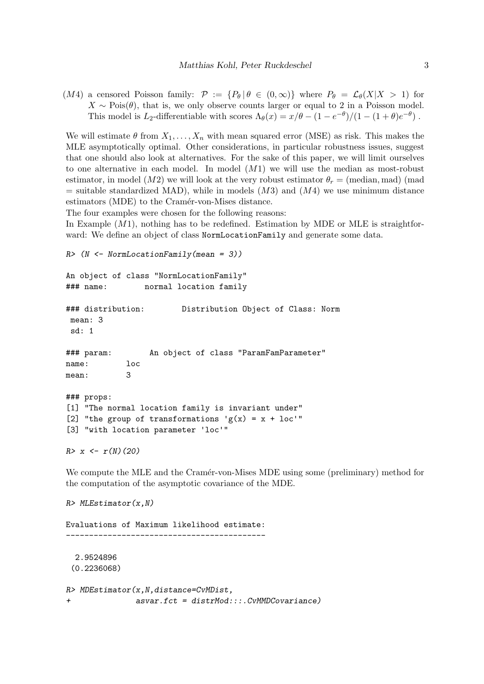(M4) a censored Poisson family:  $\mathcal{P} := \{P_{\theta} | \theta \in (0,\infty)\}\$  where  $P_{\theta} = \mathcal{L}_{\theta}(X|X > 1)$  for  $X \sim \text{Pois}(\theta)$ , that is, we only observe counts larger or equal to 2 in a Poisson model. This model is L<sub>2</sub>-differentiable with scores  $\Lambda_{\theta}(x) = x/\theta - (1 - e^{-\theta})/(1 - (1 + \theta)e^{-\theta})$ .

We will estimate  $\theta$  from  $X_1, \ldots, X_n$  with mean squared error (MSE) as risk. This makes the MLE asymptotically optimal. Other considerations, in particular robustness issues, suggest that one should also look at alternatives. For the sake of this paper, we will limit ourselves to one alternative in each model. In model  $(M1)$  we will use the median as most-robust estimator, in model (M2) we will look at the very robust estimator  $\theta_r =$  (median, mad) (mad)  $=$  suitable standardized MAD), while in models  $(M3)$  and  $(M4)$  we use minimum distance estimators (MDE) to the Cramér-von-Mises distance.

The four examples were chosen for the following reasons:

In Example  $(M1)$ , nothing has to be redefined. Estimation by MDE or MLE is straightforward: We define an object of class NormLocationFamily and generate some data.

```
R / (N \leq NormLocationFamily(mean = 3))
```

```
An object of class "NormLocationFamily"
### name: normal location family
```

```
### distribution: Distribution Object of Class: Norm
mean: 3
sd: 1
### param: An object of class "ParamFamParameter"
name: loc
mean: 3
### props:
[1] "The normal location family is invariant under"
[2] "the group of transformations 'g(x) = x + loc'"
[3] "with location parameter 'loc'"
```

```
R > x \leftarrow r(N)(20)
```
We compute the MLE and the Cramér-von-Mises MDE using some (preliminary) method for the computation of the asymptotic covariance of the MDE.

```
R> MLEstimator(x, N)Evaluations of Maximum likelihood estimate:
-------------------------------------------
 2.9524896
 (0.2236068)
R> MDEstimator(x,N,distance=CvMDist,
+ asvar.fct = distrMod:::.CvMMDCovariance)
```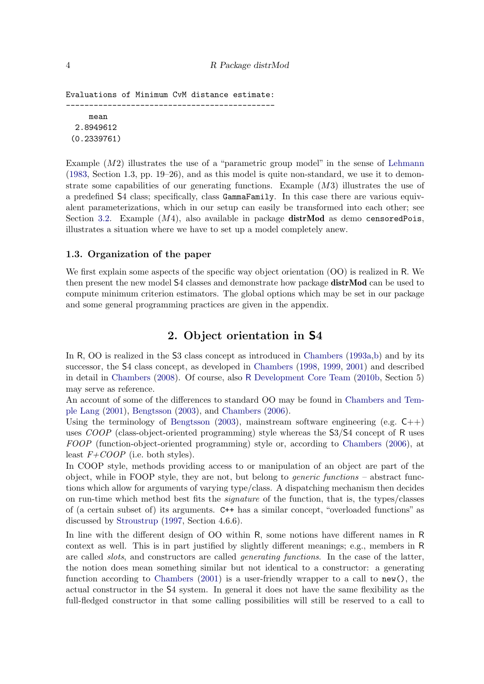```
Evaluations of Minimum CvM distance estimate:
---------------------------------------------
     mean
  2.8949612
 (0.2339761)
```
Example  $(M2)$  illustrates the use of a "parametric group model" in the sense of [Lehmann](#page-23-3) [\(1983,](#page-23-3) Section 1.3, pp. 19–26), and as this model is quite non-standard, we use it to demonstrate some capabilities of our generating functions. Example  $(M3)$  illustrates the use of a predefined S4 class; specifically, class GammaFamily. In this case there are various equivalent parameterizations, which in our setup can easily be transformed into each other; see Section [3.2.](#page-12-0) Example  $(M4)$ , also available in package distrMod as demo censoredPois. illustrates a situation where we have to set up a model completely anew.

#### 1.3. Organization of the paper

We first explain some aspects of the specific way object orientation (OO) is realized in R. We then present the new model S4 classes and demonstrate how package **distrMod** can be used to compute minimum criterion estimators. The global options which may be set in our package and some general programming practices are given in the appendix.

# 2. Object orientation in S4

<span id="page-3-0"></span>In R, OO is realized in the S3 class concept as introduced in [Chambers](#page-23-4) [\(1993a,](#page-23-4)[b\)](#page-23-5) and by its successor, the S4 class concept, as developed in [Chambers](#page-23-2) [\(1998,](#page-23-2) [1999,](#page-23-6) [2001\)](#page-23-7) and described in detail in [Chambers](#page-23-8) [\(2008\)](#page-23-8). Of course, also R [Development Core Team](#page-23-9) [\(2010b,](#page-23-9) Section 5) may serve as reference.

An account of some of the differences to standard OO may be found in [Chambers and Tem](#page-23-10)[ple Lang](#page-23-10) [\(2001\)](#page-23-10), [Bengtsson](#page-22-0) [\(2003\)](#page-22-0), and [Chambers](#page-23-11) [\(2006\)](#page-23-11).

Using the terminology of [Bengtsson](#page-22-0) [\(2003\)](#page-22-0), mainstream software engineering (e.g.  $C_{++}$ ) uses  $COOP$  (class-object-oriented programming) style whereas the  $S3/S4$  concept of R uses FOOP (function-object-oriented programming) style or, according to [Chambers](#page-23-11) [\(2006\)](#page-23-11), at least  $F+COOP$  (i.e. both styles).

In COOP style, methods providing access to or manipulation of an object are part of the object, while in FOOP style, they are not, but belong to *generic functions* – abstract functions which allow for arguments of varying type/class. A dispatching mechanism then decides on run-time which method best fits the signature of the function, that is, the types/classes of (a certain subset of) its arguments. C++ has a similar concept, "overloaded functions" as discussed by [Stroustrup](#page-24-4) [\(1997,](#page-24-4) Section 4.6.6).

In line with the different design of OO within R, some notions have different names in R context as well. This is in part justified by slightly different meanings; e.g., members in R are called *slots*, and constructors are called *generating functions*. In the case of the latter, the notion does mean something similar but not identical to a constructor: a generating function according to [Chambers](#page-23-7) [\(2001\)](#page-23-7) is a user-friendly wrapper to a call to  $\text{new}(\lambda)$ , the actual constructor in the S4 system. In general it does not have the same flexibility as the full-fledged constructor in that some calling possibilities will still be reserved to a call to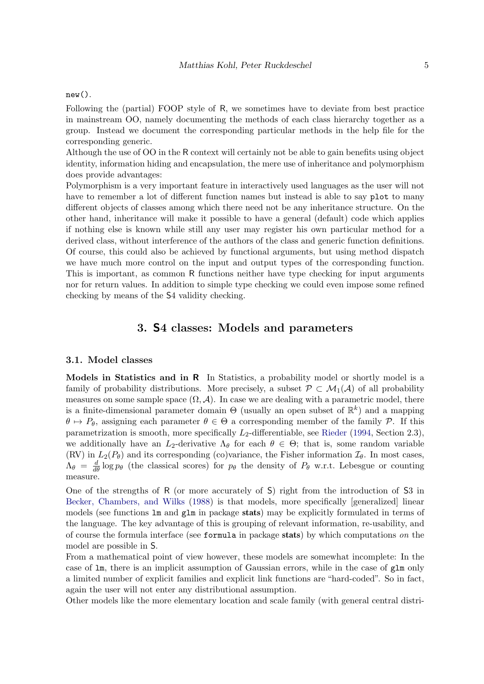#### new().

Following the (partial) FOOP style of R, we sometimes have to deviate from best practice in mainstream OO, namely documenting the methods of each class hierarchy together as a group. Instead we document the corresponding particular methods in the help file for the corresponding generic.

Although the use of OO in the R context will certainly not be able to gain benefits using object identity, information hiding and encapsulation, the mere use of inheritance and polymorphism does provide advantages:

Polymorphism is a very important feature in interactively used languages as the user will not have to remember a lot of different function names but instead is able to say plot to many different objects of classes among which there need not be any inheritance structure. On the other hand, inheritance will make it possible to have a general (default) code which applies if nothing else is known while still any user may register his own particular method for a derived class, without interference of the authors of the class and generic function definitions. Of course, this could also be achieved by functional arguments, but using method dispatch we have much more control on the input and output types of the corresponding function. This is important, as common R functions neither have type checking for input arguments nor for return values. In addition to simple type checking we could even impose some refined checking by means of the S4 validity checking.

### 3. S4 classes: Models and parameters

#### <span id="page-4-0"></span>3.1. Model classes

Models in Statistics and in  $R$  In Statistics, a probability model or shortly model is a family of probability distributions. More precisely, a subset  $\mathcal{P} \subset \mathcal{M}_1(\mathcal{A})$  of all probability measures on some sample space  $(\Omega, \mathcal{A})$ . In case we are dealing with a parametric model, there is a finite-dimensional parameter domain  $\Theta$  (usually an open subset of  $\mathbb{R}^k$ ) and a mapping  $\theta \mapsto P_{\theta}$ , assigning each parameter  $\theta \in \Theta$  a corresponding member of the family P. If this parametrization is smooth, more specifically  $L_2$ -differentiable, see [Rieder](#page-24-5) [\(1994,](#page-24-5) Section 2.3), we additionally have an  $L_2$ -derivative  $\Lambda_\theta$  for each  $\theta \in \Theta$ ; that is, some random variable (RV) in  $L_2(P_\theta)$  and its corresponding (co)variance, the Fisher information  $\mathcal{I}_\theta$ . In most cases,  $\Lambda_{\theta} = \frac{d}{d\theta} \log p_{\theta}$  (the classical scores) for  $p_{\theta}$  the density of  $P_{\theta}$  w.r.t. Lebesgue or counting measure.

One of the strengths of R (or more accurately of S) right from the introduction of S3 in [Becker, Chambers, and Wilks](#page-22-1) [\(1988\)](#page-22-1) is that models, more specifically [generalized] linear models (see functions lm and glm in package stats) may be explicitly formulated in terms of the language. The key advantage of this is grouping of relevant information, re-usability, and of course the formula interface (see formula in package stats) by which computations on the model are possible in S.

From a mathematical point of view however, these models are somewhat incomplete: In the case of lm, there is an implicit assumption of Gaussian errors, while in the case of glm only a limited number of explicit families and explicit link functions are "hard-coded". So in fact, again the user will not enter any distributional assumption.

Other models like the more elementary location and scale family (with general central distri-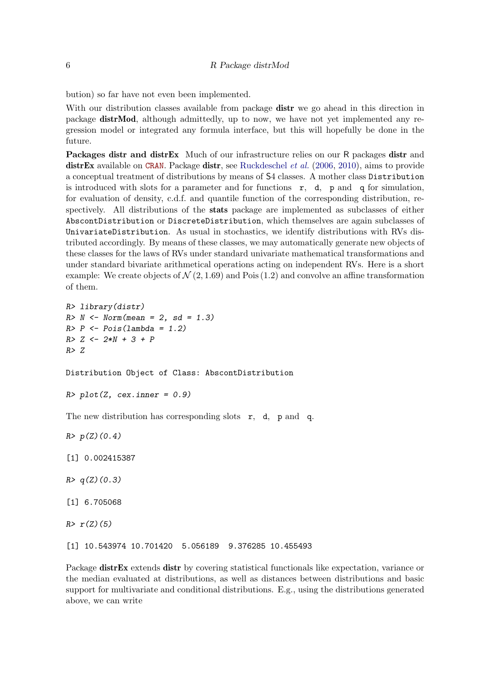bution) so far have not even been implemented.

With our distribution classes available from package **distr** we go ahead in this direction in package distrMod, although admittedly, up to now, we have not yet implemented any regression model or integrated any formula interface, but this will hopefully be done in the future.

Packages distr and distrEx Much of our infrastructure relies on our R packages distr and distrEx available on [CRAN](http://cran.r-project.org/). Package distr, see [Ruckdeschel](#page-24-0) *et al.*  $(2006, 2010)$  $(2006, 2010)$  $(2006, 2010)$ , aims to provide a conceptual treatment of distributions by means of S4 classes. A mother class Distribution is introduced with slots for a parameter and for functions  $r$ , d, p and q for simulation, for evaluation of density, c.d.f. and quantile function of the corresponding distribution, respectively. All distributions of the stats package are implemented as subclasses of either AbscontDistribution or DiscreteDistribution, which themselves are again subclasses of UnivariateDistribution. As usual in stochastics, we identify distributions with RVs distributed accordingly. By means of these classes, we may automatically generate new objects of these classes for the laws of RVs under standard univariate mathematical transformations and under standard bivariate arithmetical operations acting on independent RVs. Here is a short example: We create objects of  $\mathcal{N}(2, 1.69)$  and Pois (1.2) and convolve an affine transformation of them.

```
R> library(distr)
R > N < - Norm(mean = 2, sd = 1.3)R> P \leftarrow Pois(lambda = 1.2)R > Z \le -2*N + 3 + PR> Z
```
Distribution Object of Class: AbscontDistribution

```
R> plot(Z, cex.inner = 0.9)
```
The new distribution has corresponding slots r, d, p and q.

 $R > p(Z)(0.4)$ 

```
[1] 0.002415387
```
- $R > q(Z)(0.3)$
- [1] 6.705068

 $R > r(Z)(5)$ 

[1] 10.543974 10.701420 5.056189 9.376285 10.455493

Package distrEx extends distr by covering statistical functionals like expectation, variance or the median evaluated at distributions, as well as distances between distributions and basic support for multivariate and conditional distributions. E.g., using the distributions generated above, we can write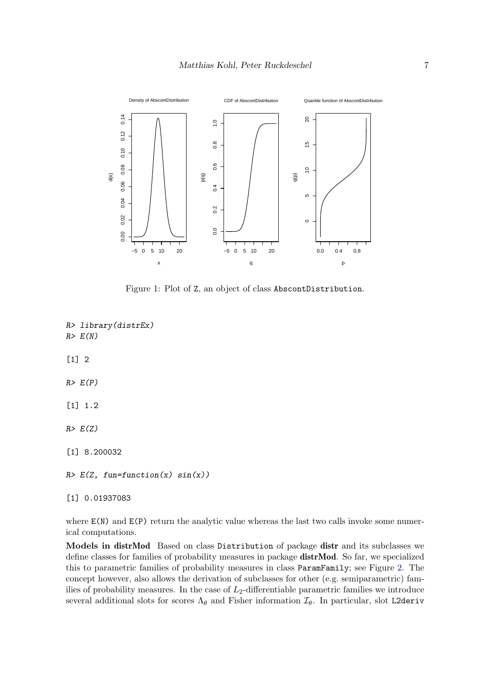

Figure 1: Plot of Z, an object of class AbscontDistribution.

R> library(distrEx)  $R > E(N)$ [1] 2  $R > E(P)$ [1] 1.2  $R > E(Z)$ [1] 8.200032  $R > E(Z, fun=function(x) sin(x))$ 

[1] 0.01937083

where  $E(N)$  and  $E(P)$  return the analytic value whereas the last two calls invoke some numerical computations.

Models in distrMod Based on class Distribution of package distr and its subclasses we define classes for families of probability measures in package distrMod. So far, we specialized this to parametric families of probability measures in class ParamFamily; see Figure [2.](#page-7-0) The concept however, also allows the derivation of subclasses for other (e.g. semiparametric) families of probability measures. In the case of  $L_2$ -differentiable parametric families we introduce several additional slots for scores  $\Lambda_{\theta}$  and Fisher information  $\mathcal{I}_{\theta}$ . In particular, slot L2deriv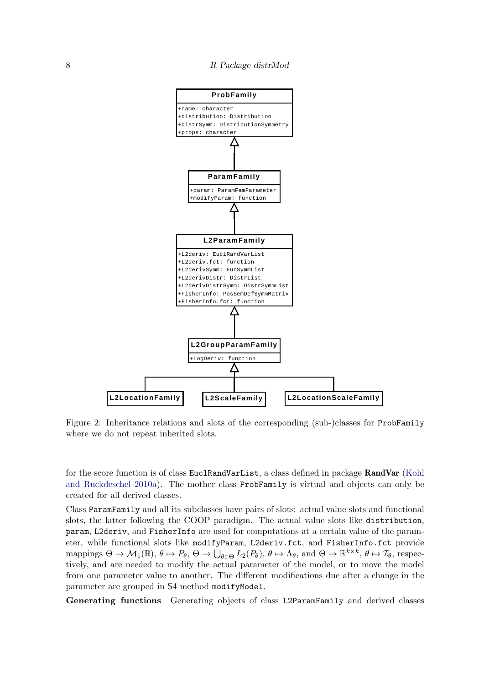

<span id="page-7-0"></span>Figure 2: Inheritance relations and slots of the corresponding (sub-)classes for ProbFamily where we do not repeat inherited slots.

for the score function is of class EuclRandVarList, a class defined in package RandVar [\(Kohl](#page-23-12) [and Ruckdeschel](#page-23-12) [2010a\)](#page-23-12). The mother class ProbFamily is virtual and objects can only be created for all derived classes.

Class ParamFamily and all its subclasses have pairs of slots: actual value slots and functional slots, the latter following the COOP paradigm. The actual value slots like distribution, param, L2deriv, and FisherInfo are used for computations at a certain value of the parameter, while functional slots like modifyParam, L2deriv.fct, and FisherInfo.fct provide mappings  $\Theta \to \mathcal{M}_1(\mathbb{B}), \theta \mapsto P_\theta, \Theta \to \dot{\bigcup}_{\theta \in \Theta} L_2(P_\theta), \theta \mapsto \Lambda_\theta$ , and  $\Theta \to \mathbb{R}^{k \times k}, \theta \mapsto \mathcal{I}_\theta$ , respectively, and are needed to modify the actual parameter of the model, or to move the model from one parameter value to another. The different modifications due after a change in the parameter are grouped in S4 method modifyModel.

Generating functions Generating objects of class L2ParamFamily and derived classes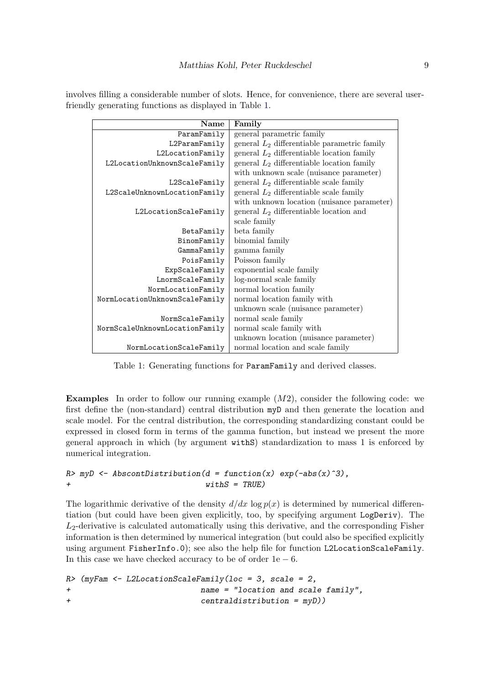involves filling a considerable number of slots. Hence, for convenience, there are several userfriendly generating functions as displayed in Table [1.](#page-8-0)

| Name                           | Family                                         |  |
|--------------------------------|------------------------------------------------|--|
| ParamFamily                    | general parametric family                      |  |
| L2ParamFamily                  | general $L_2$ differentiable parametric family |  |
| L2LocationFamily               | general $L_2$ differentiable location family   |  |
| L2LocationUnknownScaleFamily   | general $L_2$ differentiable location family   |  |
|                                | with unknown scale (nuisance parameter)        |  |
| L2ScaleFamily                  | general $L_2$ differentiable scale family      |  |
| L2ScaleUnknownLocationFamily   | general $L_2$ differentiable scale family      |  |
|                                | with unknown location (nuisance parameter)     |  |
| L2LocationScaleFamily          | general $L_2$ differentiable location and      |  |
|                                | scale family                                   |  |
| BetaFamily                     | beta family                                    |  |
| BinomFamily                    | binomial family                                |  |
| GammaFamily                    | gamma family                                   |  |
| PoisFamily                     | Poisson family                                 |  |
| ExpScaleFamily                 | exponential scale family                       |  |
| LnormScaleFamily               | log-normal scale family                        |  |
| NormLocationFamily             | normal location family                         |  |
| NormLocationUnknownScaleFamily | normal location family with                    |  |
|                                | unknown scale (nuisance parameter)             |  |
| NormScaleFamily                | normal scale family                            |  |
| NormScaleUnknownLocationFamily | normal scale family with                       |  |
|                                | unknown location (nuisance parameter)          |  |
| NormLocationScaleFamily        | normal location and scale family               |  |

<span id="page-8-0"></span>Table 1: Generating functions for ParamFamily and derived classes.

**Examples** In order to follow our running example  $(M2)$ , consider the following code: we first define the (non-standard) central distribution myD and then generate the location and scale model. For the central distribution, the corresponding standardizing constant could be expressed in closed form in terms of the gamma function, but instead we present the more general approach in which (by argument withS) standardization to mass 1 is enforced by numerical integration.

### $R$ > myD <- AbscontDistribution(d = function(x) exp(-abs(x)^3), + withS = TRUE)

The logarithmic derivative of the density  $d/dx \log p(x)$  is determined by numerical differentiation (but could have been given explicitly, too, by specifying argument LogDeriv). The  $L_2$ -derivative is calculated automatically using this derivative, and the corresponding Fisher information is then determined by numerical integration (but could also be specified explicitly using argument FisherInfo.0); see also the help file for function L2LocationScaleFamily. In this case we have checked accuracy to be of order  $1e - 6$ .

 $R$  (myFam  $\leq$  L2LocationScaleFamily(loc = 3, scale = 2, + name = "location and scale family", + centraldistribution = myD))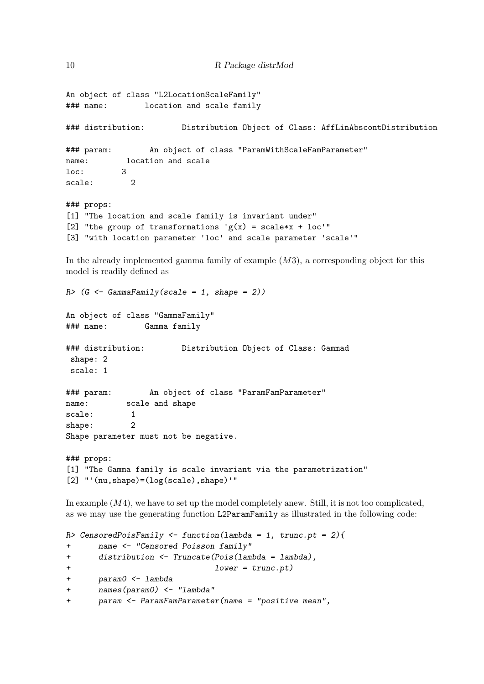```
An object of class "L2LocationScaleFamily"
### name: location and scale family
### distribution: Distribution Object of Class: AffLinAbscontDistribution
### param: An object of class "ParamWithScaleFamParameter"
name: location and scale
loc: 3
scale: 2
### props:
[1] "The location and scale family is invariant under"
[2] "the group of transformations 'g(x) = scale*x + loc'"
[3] "with location parameter 'loc' and scale parameter 'scale'"
```
In the already implemented gamma family of example  $(M3)$ , a corresponding object for this model is readily defined as

```
R > (G \leftarrow \text{GammaFam} \cup \text{P}(\text{scale} = 1, \text{shape} = 2))An object of class "GammaFamily"
### name: Gamma family
### distribution: Distribution Object of Class: Gammad
 shape: 2
scale: 1
### param: An object of class "ParamFamParameter"
name: scale and shape
scale: 1
shape: 2
Shape parameter must not be negative.
### props:
[1] "The Gamma family is scale invariant via the parametrization"
```
 $[2]$  "'(nu,shape)=(log(scale),shape)'"

In example  $(M4)$ , we have to set up the model completely anew. Still, it is not too complicated, as we may use the generating function L2ParamFamily as illustrated in the following code:

```
R> CensoredPoisFamily \le function(lambda = 1, trunc.pt = 2){
+ name <- "Censored Poisson family"
+ distribution <- Truncate(Pois(lambda = lambda),
+ lower = trunc.pt)
+ param0 <- lambda
+ names(param0) <- "lambda"
+ param <- ParamFamParameter(name = "positive mean",
```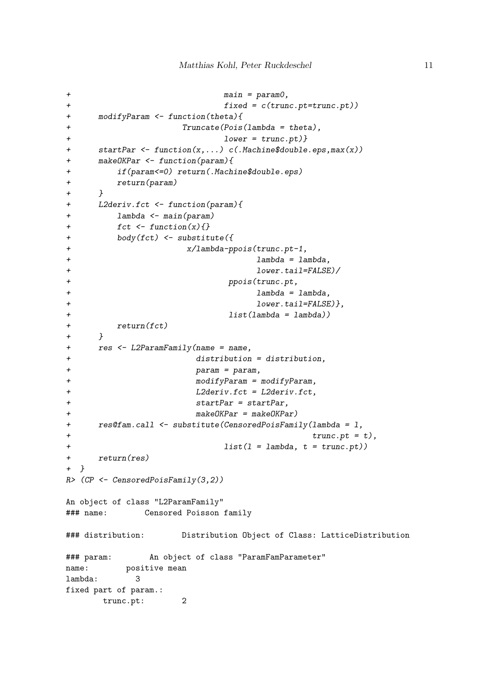```
+ main = param0,
+ fixed = c(trunc.pt=trunc.pt))
+ modifyParam <- function(theta){
               Truncate(Pois(lambda = theta),+ lower = trunc.pt)}
+ startPar <- function(x,...) c(.Machine$double.eps,max(x))
+ makeOKPar <- function(param){
+ if(param<=0) return(.Machine$double.eps)
+ return(param)
+ }
+ L2deriv.fct <- function(param){
+ lambda <- main(param)
+ fct \leftarrow function(x) {}
+ body(fct) <- substitute({
+ x/lambda-ppois(trunc.pt-1,
+ lambda = lambda,
+ lower.tail=FALSE)/
+ ppois(trunc.pt,
+ lambda = lambda,
+ lower.tail=FALSE)},
+ list(lambda = lambda))
+ return(fct)
+ }
+ res <- L2ParamFamily(name = name,
+ distribution = distribution,
+ param = param,
+ modifyParam = modifyParam,
+ L2deriv.fct = L2deriv.fct,
+ startPar = startPar,
+ makeOKPar = makeOKPar)
+ res@fam.call <- substitute(CensoredPoisFamily(lambda = l,
+ trunc.pt = t),
+ list(l = lambda, t = trunc.pt))
+ return(res)
+ }
R> (CP <- CensoredPoisFamily(3,2))
An object of class "L2ParamFamily"
### name: Censored Poisson family
### distribution: Distribution Object of Class: LatticeDistribution
### param: An object of class "ParamFamParameter"
name: positive mean
lambda: 3
fixed part of param.:
     trunc.pt: 2
```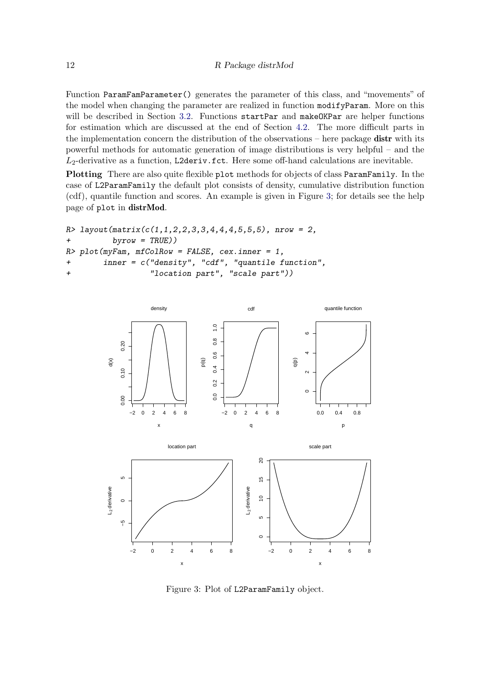Function ParamFamParameter() generates the parameter of this class, and "movements" of the model when changing the parameter are realized in function modifyParam. More on this will be described in Section [3.2.](#page-12-0) Functions startPar and makeOKPar are helper functions for estimation which are discussed at the end of Section [4.2.](#page-16-0) The more difficult parts in the implementation concern the distribution of the observations – here package **distr** with its powerful methods for automatic generation of image distributions is very helpful – and the  $L_2$ -derivative as a function, L2deriv.fct. Here some off-hand calculations are inevitable.

Plotting There are also quite flexible plot methods for objects of class ParamFamily. In the case of L2ParamFamily the default plot consists of density, cumulative distribution function (cdf), quantile function and scores. An example is given in Figure [3;](#page-11-0) for details see the help page of plot in distrMod.

```
R> layout (matrix(c(1,1,2,2,3,3,4,4,4,5,5,5), nrow = 2,
+ byrow = TRUE))
R> plot(myFam, mfColRow = FALSE, cex.inner = 1,
+ inner = c("density", "cdf", "quantile function",
+ "location part", "scale part"))
```


<span id="page-11-0"></span>Figure 3: Plot of L2ParamFamily object.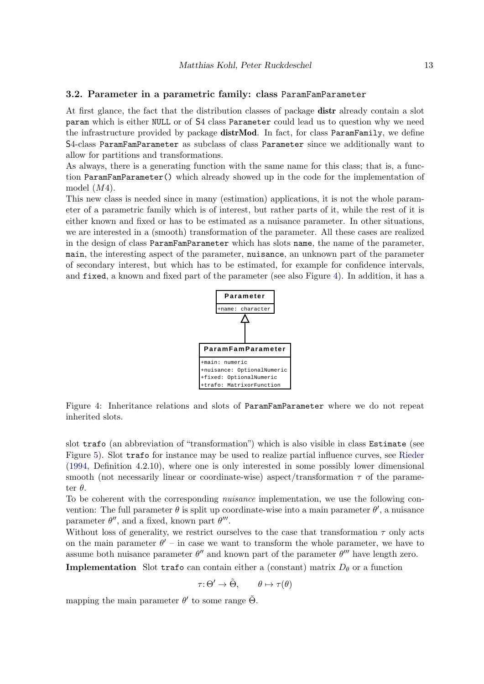#### <span id="page-12-0"></span>3.2. Parameter in a parametric family: class ParamFamParameter

At first glance, the fact that the distribution classes of package distr already contain a slot param which is either NULL or of S4 class Parameter could lead us to question why we need the infrastructure provided by package distrMod. In fact, for class ParamFamily, we define S4-class ParamFamParameter as subclass of class Parameter since we additionally want to allow for partitions and transformations.

As always, there is a generating function with the same name for this class; that is, a function ParamFamParameter() which already showed up in the code for the implementation of model  $(M4)$ .

This new class is needed since in many (estimation) applications, it is not the whole parameter of a parametric family which is of interest, but rather parts of it, while the rest of it is either known and fixed or has to be estimated as a nuisance parameter. In other situations, we are interested in a (smooth) transformation of the parameter. All these cases are realized in the design of class ParamFamParameter which has slots name, the name of the parameter, main, the interesting aspect of the parameter, nuisance, an unknown part of the parameter of secondary interest, but which has to be estimated, for example for confidence intervals, and fixed, a known and fixed part of the parameter (see also Figure [4\)](#page-12-1). In addition, it has a



<span id="page-12-1"></span>Figure 4: Inheritance relations and slots of ParamFamParameter where we do not repeat inherited slots.

slot trafo (an abbreviation of "transformation") which is also visible in class Estimate (see Figure [5\)](#page-20-0). Slot trafo for instance may be used to realize partial influence curves, see [Rieder](#page-24-5) [\(1994,](#page-24-5) Definition 4.2.10), where one is only interested in some possibly lower dimensional smooth (not necessarily linear or coordinate-wise) aspect/transformation  $\tau$  of the parameter  $\theta$ .

To be coherent with the corresponding *nuisance* implementation, we use the following convention: The full parameter  $\theta$  is split up coordinate-wise into a main parameter  $\theta'$ , a nuisance parameter  $\theta''$ , and a fixed, known part  $\theta'''$ .

Without loss of generality, we restrict ourselves to the case that transformation  $\tau$  only acts on the main parameter  $\theta'$  – in case we want to transform the whole parameter, we have to assume both nuisance parameter  $\theta''$  and known part of the parameter  $\theta'''$  have length zero.

**Implementation** Slot trafo can contain either a (constant) matrix  $D_{\theta}$  or a function

$$
\tau \colon \Theta' \to \tilde{\Theta}, \qquad \theta \mapsto \tau(\theta)
$$

mapping the main parameter  $\theta'$  to some range  $\tilde{\Theta}$ .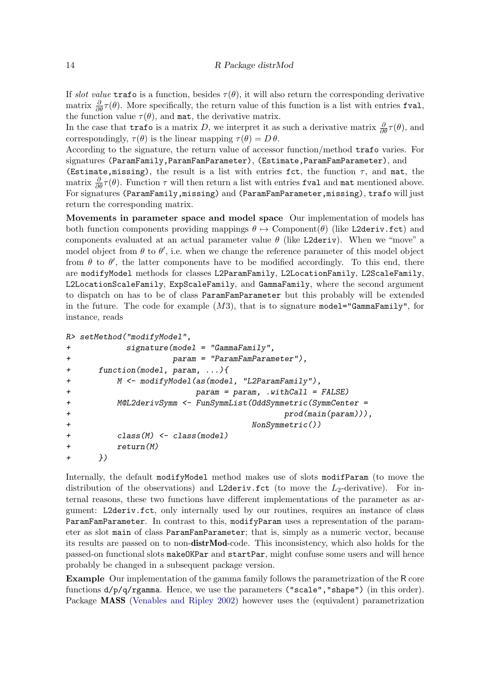If slot value trafo is a function, besides  $\tau(\theta)$ , it will also return the corresponding derivative matrix  $\frac{\partial}{\partial \theta} \tau(\theta)$ . More specifically, the return value of this function is a list with entries fval, the function value  $\tau(\theta)$ , and mat, the derivative matrix.

In the case that **trafo** is a matrix D, we interpret it as such a derivative matrix  $\frac{\partial}{\partial \theta} \tau(\theta)$ , and correspondingly,  $\tau(\theta)$  is the linear mapping  $\tau(\theta) = D \theta$ .

According to the signature, the return value of accessor function/method trafo varies. For signatures (ParamFamily,ParamFamParameter), (Estimate,ParamFamParameter), and

(Estimate, missing), the result is a list with entries fct, the function  $\tau$ , and mat, the matrix  $\frac{\partial}{\partial \theta} \tau(\theta)$ . Function  $\tau$  will then return a list with entries for all and mat mentioned above. For signatures (ParamFamily,missing) and (ParamFamParameter,missing), trafo will just return the corresponding matrix.

Movements in parameter space and model space Our implementation of models has both function components providing mappings  $\theta \mapsto \text{Component}(\theta)$  (like L2deriv.fct) and components evaluated at an actual parameter value  $\theta$  (like L2deriv). When we "move" a model object from  $\theta$  to  $\theta'$ , i.e. when we change the reference parameter of this model object from  $\theta$  to  $\theta'$ , the latter components have to be modified accordingly. To this end, there are modifyModel methods for classes L2ParamFamily, L2LocationFamily, L2ScaleFamily, L2LocationScaleFamily, ExpScaleFamily, and GammaFamily, where the second argument to dispatch on has to be of class ParamFamParameter but this probably will be extended in the future. The code for example  $(M3)$ , that is to signature model="GammaFamily", for instance, reads

```
R> setMethod("modifyModel",
```

```
+ signature(model = "GammaFamily",
+ param = "ParamFamParameter"),
+ function(model, param, ...){
+ M <- modifyModel(as(model, "L2ParamFamily"),
+ param = param, .withCall = FALSE)
+ M@L2derivSymm <- FunSymmList(OddSymmetric(SymmCenter =
+ prod(main(param))),
+ NonSymmetric())
       class(M) \leftarrow class(model)+ return(M)
+ })
```
Internally, the default modifyModel method makes use of slots modifParam (to move the distribution of the observations) and L2deriv.fct (to move the  $L_2$ -derivative). For internal reasons, these two functions have different implementations of the parameter as argument: L2deriv.fct, only internally used by our routines, requires an instance of class ParamFamParameter. In contrast to this, modifyParam uses a representation of the parameter as slot main of class ParamFamParameter; that is, simply as a numeric vector, because its results are passed on to non-distrMod-code. This inconsistency, which also holds for the passed-on functional slots makeOKPar and startPar, might confuse some users and will hence probably be changed in a subsequent package version.

Example Our implementation of the gamma family follows the parametrization of the R core functions d/p/q/rgamma. Hence, we use the parameters ("scale","shape") (in this order). Package MASS [\(Venables and Ripley](#page-24-2) [2002\)](#page-24-2) however uses the (equivalent) parametrization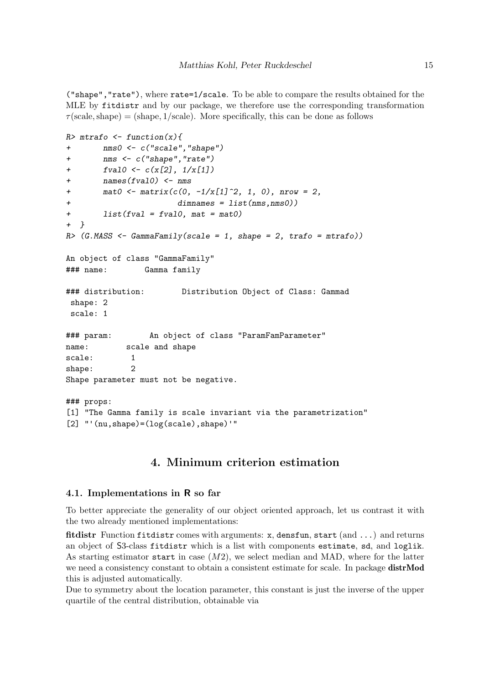("shape","rate"), where rate=1/scale. To be able to compare the results obtained for the MLE by fitdistr and by our package, we therefore use the corresponding transformation  $\tau$ (scale, shape) = (shape, 1/scale). More specifically, this can be done as follows

```
R> mtrafo \leftarrow function(x){
+ nms0 <- c("scale","shape")
+ nms <- c("shape","rate")
+ fval0 \leftarrow c(x[2], 1/x[1])+ names(fval0) <- nms
+ \text{mat0} \leq \text{matrix}(c(0, -1/x[1]^2, 1, 0), \text{ntow} = 2,+ dimnames = list(nms,nms0))
+ list(fval = fval0, mat = mat0)
+ }
R \geq (G.MASS \leq GammaFamily(scale = 1, shape = 2, trafo = mtrafo))
An object of class "GammaFamily"
### name: Gamma family
### distribution: Distribution Object of Class: Gammad
shape: 2
scale: 1
### param: An object of class "ParamFamParameter"
name: scale and shape
scale: 1
shape: 2
Shape parameter must not be negative.
### props:
[1] "The Gamma family is scale invariant via the parametrization"
[2] "'(nu,shape)=(log(scale),shape)'"
```
# 4. Minimum criterion estimation

### <span id="page-14-1"></span><span id="page-14-0"></span>4.1. Implementations in R so far

To better appreciate the generality of our object oriented approach, let us contrast it with the two already mentioned implementations:

fitdistr Function fitdistr comes with arguments:  $x$ , densfun, start (and ...) and returns an object of S3-class fitdistr which is a list with components estimate, sd, and loglik. As starting estimator start in case  $(M2)$ , we select median and MAD, where for the latter we need a consistency constant to obtain a consistent estimate for scale. In package distrMod this is adjusted automatically.

Due to symmetry about the location parameter, this constant is just the inverse of the upper quartile of the central distribution, obtainable via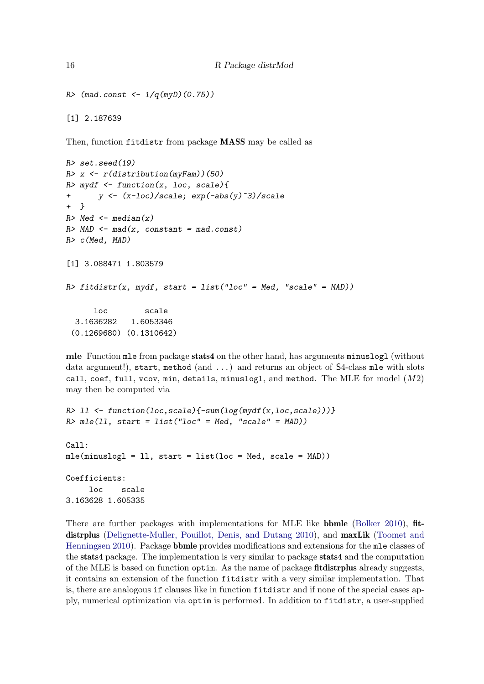```
R > (mad. const < -1/q(myD)(0.75))
```
Then, function fitdistr from package MASS may be called as

```
R> set.seed(19)
R> x <- r(distribution(myFam))(50)
R> mydf <- function(x, loc, scale){
+ y \leftarrow (x-loc)/scale; exp(-abs(y)^3)/scale+ }
R> Med \leftarrow median(x)R > MAD \leftarrow mad(x, constant = mad.config)R> c(Med, MAD)
[1] 3.088471 1.803579
R> fitdistr(x, mydf, start = list("loc" = Med, "scale" = MAD))
      loc scale
  3.1636282 1.6053346
 (0.1269680) (0.1310642)
```
mle Function mle from package stats4 on the other hand, has arguments minuslogl (without data argument!), start, method (and ...) and returns an object of S4-class mle with slots call, coef, full, vcov, min, details, minuslogl, and method. The MLE for model  $(M2)$ may then be computed via

```
R > 11 <- function(loc, scale){-sum(log(mydf(x,loc, scale)))}
R> mle(11, start = list("loc" = Med, "scale" = MAD))
Call:
mle(minuslogl = ll, start = list(loc = Med, scale = MAD))
Coefficients:
     loc scale
3.163628 1.605335
```
There are further packages with implementations for MLE like **bbmle** [\(Bolker](#page-23-13) [2010\)](#page-23-13), **fit-**distrplus [\(Delignette-Muller, Pouillot, Denis, and Dutang](#page-23-14) [2010\)](#page-23-14), and maxLik [\(Toomet and](#page-24-6) [Henningsen](#page-24-6) [2010\)](#page-24-6). Package bbmle provides modifications and extensions for the mle classes of the stats4 package. The implementation is very similar to package stats4 and the computation of the MLE is based on function optim. As the name of package fitdistrplus already suggests, it contains an extension of the function fitdistr with a very similar implementation. That is, there are analogous if clauses like in function fitdistr and if none of the special cases apply, numerical optimization via optim is performed. In addition to fitdistr, a user-supplied

[1] 2.187639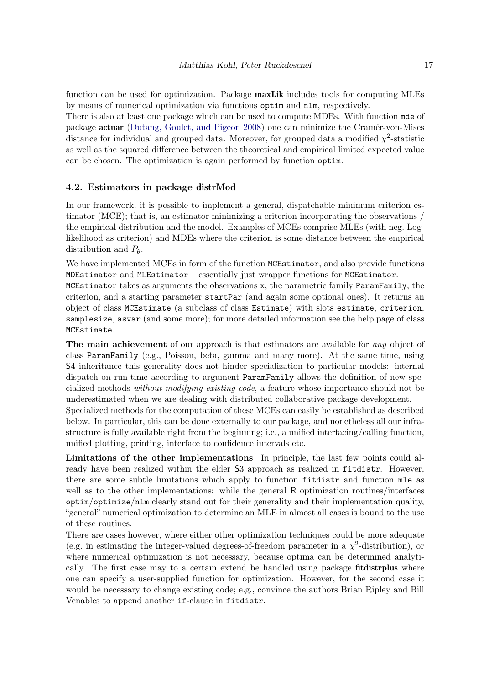function can be used for optimization. Package **maxLik** includes tools for computing MLEs by means of numerical optimization via functions optim and nlm, respectively.

There is also at least one package which can be used to compute MDEs. With function mde of package **actuar** [\(Dutang, Goulet, and Pigeon](#page-23-15) [2008\)](#page-23-15) one can minimize the Cramér-von-Mises distance for individual and grouped data. Moreover, for grouped data a modified  $\chi^2$ -statistic as well as the squared difference between the theoretical and empirical limited expected value can be chosen. The optimization is again performed by function optim.

### <span id="page-16-0"></span>4.2. Estimators in package distrMod

In our framework, it is possible to implement a general, dispatchable minimum criterion estimator (MCE); that is, an estimator minimizing a criterion incorporating the observations / the empirical distribution and the model. Examples of MCEs comprise MLEs (with neg. Loglikelihood as criterion) and MDEs where the criterion is some distance between the empirical distribution and  $P_{\theta}$ .

We have implemented MCEs in form of the function MCEstimator, and also provide functions MDEstimator and MLEstimator – essentially just wrapper functions for MCEstimator.

MCEstimator takes as arguments the observations x, the parametric family ParamFamily, the criterion, and a starting parameter startPar (and again some optional ones). It returns an object of class MCEstimate (a subclass of class Estimate) with slots estimate, criterion, samplesize, asvar (and some more); for more detailed information see the help page of class MCEstimate.

The main achievement of our approach is that estimators are available for *any* object of class ParamFamily (e.g., Poisson, beta, gamma and many more). At the same time, using S4 inheritance this generality does not hinder specialization to particular models: internal dispatch on run-time according to argument ParamFamily allows the definition of new specialized methods without modifying existing code, a feature whose importance should not be underestimated when we are dealing with distributed collaborative package development.

Specialized methods for the computation of these MCEs can easily be established as described below. In particular, this can be done externally to our package, and nonetheless all our infrastructure is fully available right from the beginning; i.e., a unified interfacing/calling function, unified plotting, printing, interface to confidence intervals etc.

Limitations of the other implementations In principle, the last few points could already have been realized within the elder S3 approach as realized in fitdistr. However, there are some subtle limitations which apply to function fitdistr and function mle as well as to the other implementations: while the general R optimization routines/interfaces optim/optimize/nlm clearly stand out for their generality and their implementation quality, "general" numerical optimization to determine an MLE in almost all cases is bound to the use of these routines.

There are cases however, where either other optimization techniques could be more adequate (e.g. in estimating the integer-valued degrees-of-freedom parameter in a  $\chi^2$ -distribution), or where numerical optimization is not necessary, because optima can be determined analytically. The first case may to a certain extend be handled using package **fitdistrplus** where one can specify a user-supplied function for optimization. However, for the second case it would be necessary to change existing code; e.g., convince the authors Brian Ripley and Bill Venables to append another if-clause in fitdistr.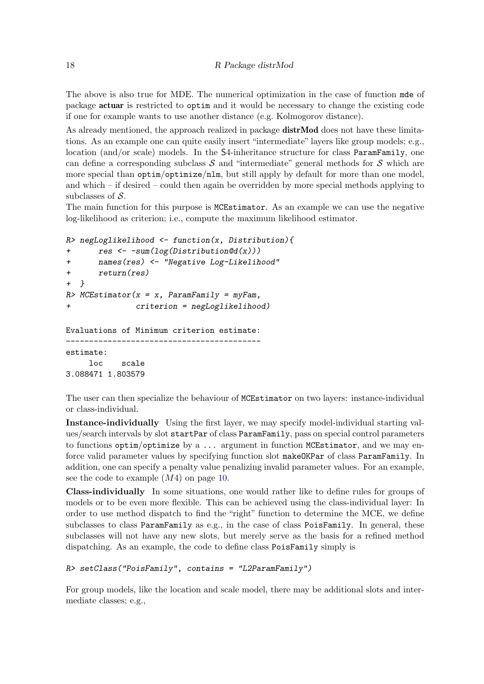The above is also true for MDE. The numerical optimization in the case of function mde of package actuar is restricted to optim and it would be necessary to change the existing code if one for example wants to use another distance (e.g. Kolmogorov distance).

As already mentioned, the approach realized in package distrMod does not have these limitations. As an example one can quite easily insert "intermediate" layers like group models; e.g., location (and/or scale) models. In the S4-inheritance structure for class ParamFamily, one can define a corresponding subclass  $S$  and "intermediate" general methods for  $S$  which are more special than optim/optimize/nlm, but still apply by default for more than one model, and which – if desired – could then again be overridden by more special methods applying to subclasses of  $S$ .

The main function for this purpose is MCEstimator. As an example we can use the negative log-likelihood as criterion; i.e., compute the maximum likelihood estimator.

```
R> negLoglikelihood <- function(x, Distribution){
+ res <- -sum(log(Distribution@d(x)))
+ names(res) <- "Negative Log-Likelihood"
+ return(res)
+ }
R> MCEstimator(x = x, ParamFamily = myFam,
+ criterion = negLoglikelihood)
Evaluations of Minimum criterion estimate:
      ------------------------------------------
estimate:
    loc scale
3.088471 1.803579
```
The user can then specialize the behaviour of MCEstimator on two layers: instance-individual or class-individual.

Instance-individually Using the first layer, we may specify model-individual starting values/search intervals by slot startPar of class ParamFamily, pass on special control parameters to functions  $optim/optimize by a... argument in function MCEstimator, and we may en$ force valid parameter values by specifying function slot makeOKPar of class ParamFamily. In addition, one can specify a penalty value penalizing invalid parameter values. For an example, see the code to example  $(M4)$  on page [10.](#page-8-0)

Class-individually In some situations, one would rather like to define rules for groups of models or to be even more flexible. This can be achieved using the class-individual layer: In order to use method dispatch to find the "right" function to determine the MCE, we define subclasses to class ParamFamily as e.g., in the case of class PoisFamily. In general, these subclasses will not have any new slots, but merely serve as the basis for a refined method dispatching. As an example, the code to define class PoisFamily simply is

```
R> setClass("PoisFamily", contains = "L2ParamFamily")
```
For group models, like the location and scale model, there may be additional slots and intermediate classes; e.g.,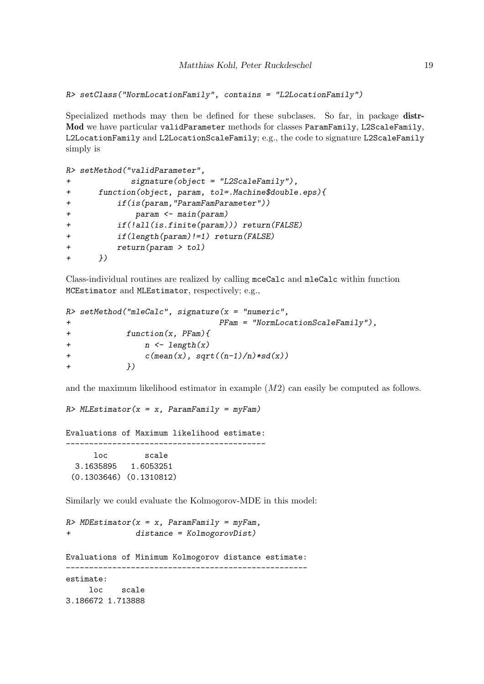```
R> setClass("NormLocationFamily", contains = "L2LocationFamily")
```
Specialized methods may then be defined for these subclases. So far, in package distr-Mod we have particular validParameter methods for classes ParamFamily, L2ScaleFamily, L2LocationFamily and L2LocationScaleFamily; e.g., the code to signature L2ScaleFamily simply is

```
R> setMethod("validParameter",
+ signature(object = "L2ScaleFamily"),
+ function(object, param, tol=.Machine$double.eps){
+ if(is(param,"ParamFamParameter"))
            param <- main(param)
+ if(!all(is.finite(param))) return(FALSE)
+ if(length(param)!=1) return(FALSE)
+ return(param > tol)
+ })
```
Class-individual routines are realized by calling mceCalc and mleCalc within function MCEstimator and MLEstimator, respectively; e.g.,

```
R> setMethod("mleCalc", signature(x = "numeric",+ PFam = "NormLocationScaleFamily"),
+ function(x, PFam){
+ n \leftarrow length(x)+ c(mean(x), sqrt((n-1)/n)*sd(x))+ })
```
and the maximum likelihood estimator in example (M2) can easily be computed as follows.

```
R > MLEstimator(x = x, ParamFamily = myFam)
```
Evaluations of Maximum likelihood estimate: ------------------------------------------ loc scale 3.1635895 1.6053251 (0.1303646) (0.1310812)

Similarly we could evaluate the Kolmogorov-MDE in this model:

```
R> MDEstimator(x = x, ParamFamily = myFam,
+ distance = KolmogorovDist)
Evaluations of Minimum Kolmogorov distance estimate:
    ----------------------------------------------------
estimate:
     loc scale
3.186672 1.713888
```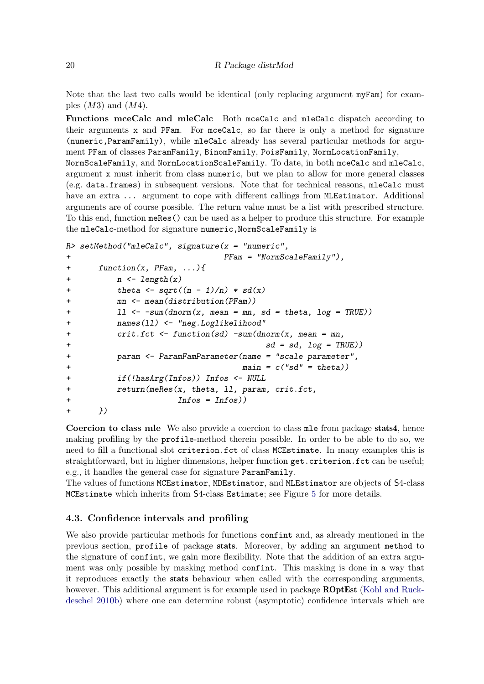Note that the last two calls would be identical (only replacing argument  $myFam$ ) for examples  $(M3)$  and  $(M4)$ .

Functions mceCalc and mleCalc Both mceCalc and mleCalc dispatch according to their arguments x and PFam. For mceCalc, so far there is only a method for signature (numeric,ParamFamily), while mleCalc already has several particular methods for argument PFam of classes ParamFamily, BinomFamily, PoisFamily, NormLocationFamily,

NormScaleFamily, and NormLocationScaleFamily. To date, in both mceCalc and mleCalc, argument x must inherit from class numeric, but we plan to allow for more general classes (e.g. data.frames) in subsequent versions. Note that for technical reasons, mleCalc must have an extra ... argument to cope with different callings from MLEstimator. Additional arguments are of course possible. The return value must be a list with prescribed structure. To this end, function meRes() can be used as a helper to produce this structure. For example the mleCalc-method for signature numeric,NormScaleFamily is

```
R> setMethod("mleCalc", signature(x = "numeric",+ PFam = "NormScaleFamily"),
+ function(x, PFam, ...){
+ n \leftarrow length(x)+ theta \leftarrow sqrt((n - 1)/n) * sd(x)mn \leftarrow \text{mean}(distribution(PFam))+ ll \leq -sum(dnorm(x, mean = mn, sd = theta, log = TRUE))
+ names(ll) <- "neg.Loglikelihood"
+ crit.fct <- function(sd) -sum(dnorm(x, mean = mn,
+ sd = sd, log = TRUE)
+ param <- ParamFamParameter(name = "scale parameter",
+ main = c("sd" = theta)+ if(!hasArg(Infos)) Infos <- NULL
+ return(meRes(x, theta, ll, param, crit.fct,
+ Infos = Infos))
+ })
```
Coercion to class mle We also provide a coercion to class mle from package stats4, hence making profiling by the profile-method therein possible. In order to be able to do so, we need to fill a functional slot criterion.fct of class MCEstimate. In many examples this is straightforward, but in higher dimensions, helper function get.criterion.fct can be useful; e.g., it handles the general case for signature ParamFamily.

The values of functions MCEstimator, MDEstimator, and MLEstimator are objects of S4-class MCEstimate which inherits from S4-class Estimate; see Figure [5](#page-20-0) for more details.

### 4.3. Confidence intervals and profiling

We also provide particular methods for functions confint and, as already mentioned in the previous section, profile of package stats. Moreover, by adding an argument method to the signature of confint, we gain more flexibility. Note that the addition of an extra argument was only possible by masking method confint. This masking is done in a way that it reproduces exactly the stats behaviour when called with the corresponding arguments, however. This additional argument is for example used in package **ROptEst** [\(Kohl and Ruck](#page-23-16)[deschel](#page-23-16) [2010b\)](#page-23-16) where one can determine robust (asymptotic) confidence intervals which are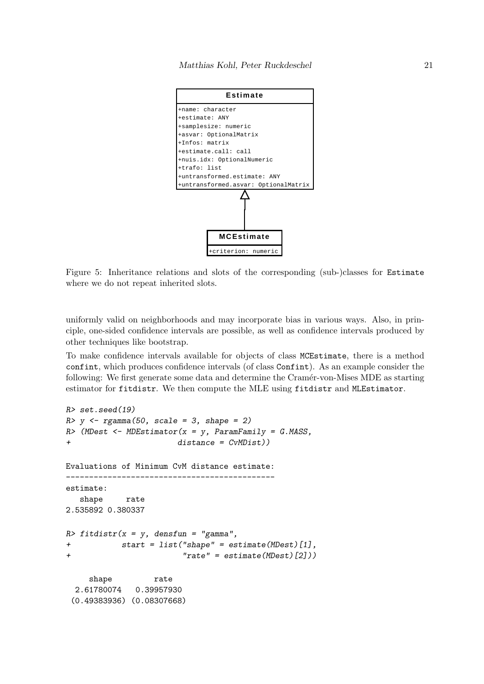

<span id="page-20-0"></span>Figure 5: Inheritance relations and slots of the corresponding (sub-)classes for Estimate where we do not repeat inherited slots.

uniformly valid on neighborhoods and may incorporate bias in various ways. Also, in principle, one-sided confidence intervals are possible, as well as confidence intervals produced by other techniques like bootstrap.

To make confidence intervals available for objects of class MCEstimate, there is a method confint, which produces confidence intervals (of class Confint). As an example consider the following: We first generate some data and determine the Cramér-von-Mises MDE as starting estimator for fitdistr. We then compute the MLE using fitdistr and MLEstimator.

```
R> set.seed(19)
R> y <- rgamma(50, scale = 3, shape = 2)
R> (MDest \leq-MDEstimator(x = y, ParamFamily = G.MASS,
+ distance = CvMDist))
Evaluations of Minimum CvM distance estimate:
      ---------------------------------------------
estimate:
  shape rate
2.535892 0.380337
R> fitdistr(x = y, densfun = "gamma",
+ start = list("shape" = estimate(MDest)[1],
+ "rate" = estimate(MDest)[2]))
    shape rate
 2.61780074 0.39957930
 (0.49383936) (0.08307668)
```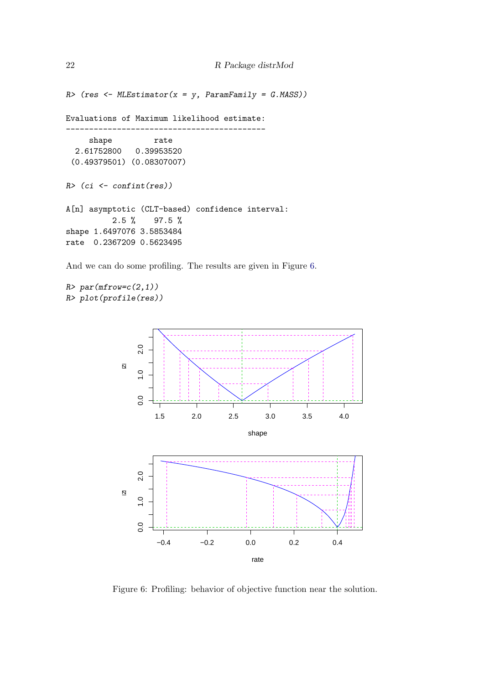```
R (res \leftarrow MLEstimator(x = y, ParamFamily = G.MASS))
```
Evaluations of Maximum likelihood estimate:

```
-------------------------------------------
    shape rate
 2.61752800 0.39953520
 (0.49379501) (0.08307007)
R> (ci <- confint(res))
A[n] asymptotic (CLT-based) confidence interval:
         2.5 % 97.5 %
shape 1.6497076 3.5853484
rate 0.2367209 0.5623495
```
And we can do some profiling. The results are given in Figure [6.](#page-21-0)

 $R$ > par(mfrow=c(2,1)) R> plot(profile(res))



<span id="page-21-0"></span>Figure 6: Profiling: behavior of objective function near the solution.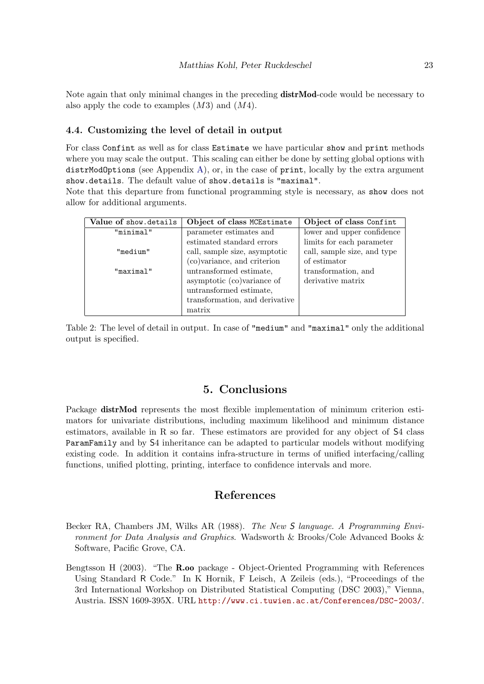Note again that only minimal changes in the preceding **distrMod**-code would be necessary to also apply the code to examples  $(M3)$  and  $(M4)$ .

### 4.4. Customizing the level of detail in output

For class Confint as well as for class Estimate we have particular show and print methods where you may scale the output. This scaling can either be done by setting global options with  $distr$ ModOptions (see Appendix [A\)](#page-24-7), or, in the case of print, locally by the extra argument show.details. The default value of show.details is "maximal".

Note that this departure from functional programming style is necessary, as show does not allow for additional arguments.

| Value of show details | Object of class MCEstimate     | Object of class Confint     |
|-----------------------|--------------------------------|-----------------------------|
| "minimal"             | parameter estimates and        | lower and upper confidence  |
|                       | estimated standard errors      | limits for each parameter   |
| "medium"              | call, sample size, asymptotic  | call, sample size, and type |
|                       | (co)variance, and criterion    | of estimator                |
| "maximal"             | untransformed estimate,        | transformation, and         |
|                       | asymptotic (co)variance of     | derivative matrix           |
|                       | untransformed estimate,        |                             |
|                       | transformation, and derivative |                             |
|                       | matrix                         |                             |

<span id="page-22-2"></span>Table 2: The level of detail in output. In case of "medium" and "maximal" only the additional output is specified.

## 5. Conclusions

Package distrMod represents the most flexible implementation of minimum criterion estimators for univariate distributions, including maximum likelihood and minimum distance estimators, available in R so far. These estimators are provided for any object of S4 class ParamFamily and by S4 inheritance can be adapted to particular models without modifying existing code. In addition it contains infra-structure in terms of unified interfacing/calling functions, unified plotting, printing, interface to confidence intervals and more.

### References

- <span id="page-22-1"></span>Becker RA, Chambers JM, Wilks AR (1988). The New S language. A Programming Environment for Data Analysis and Graphics. Wadsworth & Brooks/Cole Advanced Books & Software, Pacific Grove, CA.
- <span id="page-22-0"></span>Bengtsson H (2003). "The R.oo package - Object-Oriented Programming with References Using Standard R Code." In K Hornik, F Leisch, A Zeileis (eds.), "Proceedings of the 3rd International Workshop on Distributed Statistical Computing (DSC 2003)," Vienna, Austria. ISSN 1609-395X. URL <http://www.ci.tuwien.ac.at/Conferences/DSC-2003/>.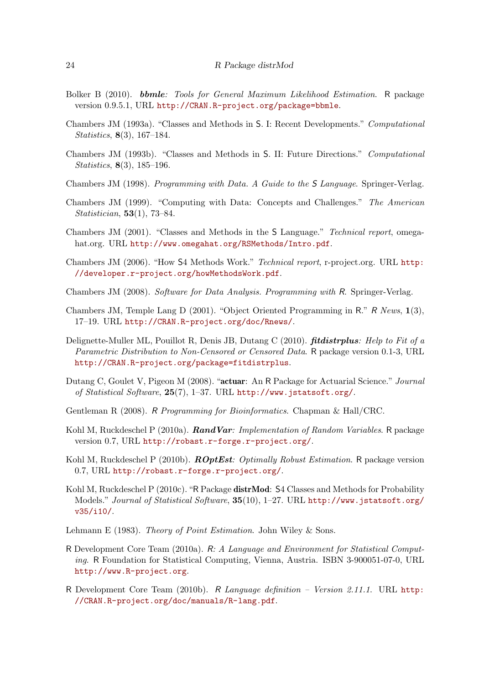- <span id="page-23-13"></span>Bolker B (2010). bbmle: Tools for General Maximum Likelihood Estimation. R package version 0.9.5.1, URL <http://CRAN.R-project.org/package=bbmle>.
- <span id="page-23-4"></span>Chambers JM (1993a). "Classes and Methods in S. I: Recent Developments." Computational Statistics, 8(3), 167–184.
- <span id="page-23-5"></span>Chambers JM (1993b). "Classes and Methods in S. II: Future Directions." Computational Statistics, 8(3), 185–196.
- <span id="page-23-2"></span>Chambers JM (1998). Programming with Data. A Guide to the S Language. Springer-Verlag.
- <span id="page-23-6"></span>Chambers JM (1999). "Computing with Data: Concepts and Challenges." The American Statistician, 53(1), 73–84.
- <span id="page-23-7"></span>Chambers JM (2001). "Classes and Methods in the S Language." Technical report, omegahat.org. URL <http://www.omegahat.org/RSMethods/Intro.pdf>.
- <span id="page-23-11"></span>Chambers JM (2006). "How S4 Methods Work." Technical report, r-project.org. URL [http:](http://developer.r-project.org/howMethodsWork.pdf) [//developer.r-project.org/howMethodsWork.pdf](http://developer.r-project.org/howMethodsWork.pdf).
- <span id="page-23-8"></span>Chambers JM (2008). Software for Data Analysis. Programming with R. Springer-Verlag.
- <span id="page-23-10"></span>Chambers JM, Temple Lang D (2001). "Object Oriented Programming in R." R News, 1(3), 17–19. URL <http://CRAN.R-project.org/doc/Rnews/>.
- <span id="page-23-14"></span>Delignette-Muller ML, Pouillot R, Denis JB, Dutang C (2010). fitdistrplus: Help to Fit of a Parametric Distribution to Non-Censored or Censored Data. R package version 0.1-3, URL <http://CRAN.R-project.org/package=fitdistrplus>.
- <span id="page-23-15"></span>Dutang C, Goulet V, Pigeon M (2008). "actuar: An R Package for Actuarial Science." Journal of Statistical Software, 25(7), 1–37. URL <http://www.jstatsoft.org/>.
- <span id="page-23-17"></span>Gentleman R (2008). R Programming for Bioinformatics. Chapman & Hall/CRC.
- <span id="page-23-12"></span>Kohl M, Ruckdeschel P (2010a). Rand Var: Implementation of Random Variables. R package version 0.7, URL <http://robast.r-forge.r-project.org/>.
- <span id="page-23-16"></span>Kohl M, Ruckdeschel P (2010b). **ROptEst**: Optimally Robust Estimation. R package version 0.7, URL <http://robast.r-forge.r-project.org/>.
- <span id="page-23-0"></span>Kohl M, Ruckdeschel P (2010c). "R Package distrMod: S4 Classes and Methods for Probability Models." Journal of Statistical Software, 35(10), 1–27. URL [http://www.jstatsoft.org/](http://www.jstatsoft.org/v35/i10/) [v35/i10/](http://www.jstatsoft.org/v35/i10/).
- <span id="page-23-3"></span>Lehmann E (1983). Theory of Point Estimation. John Wiley & Sons.
- <span id="page-23-1"></span>R Development Core Team (2010a). R: A Language and Environment for Statistical Computing. R Foundation for Statistical Computing, Vienna, Austria. ISBN 3-900051-07-0, URL <http://www.R-project.org>.
- <span id="page-23-9"></span>R Development Core Team (2010b). R Language definition – Version 2.11.1. URL [http:](http://CRAN.R-project.org/doc/manuals/R-lang.pdf) [//CRAN.R-project.org/doc/manuals/R-lang.pdf](http://CRAN.R-project.org/doc/manuals/R-lang.pdf).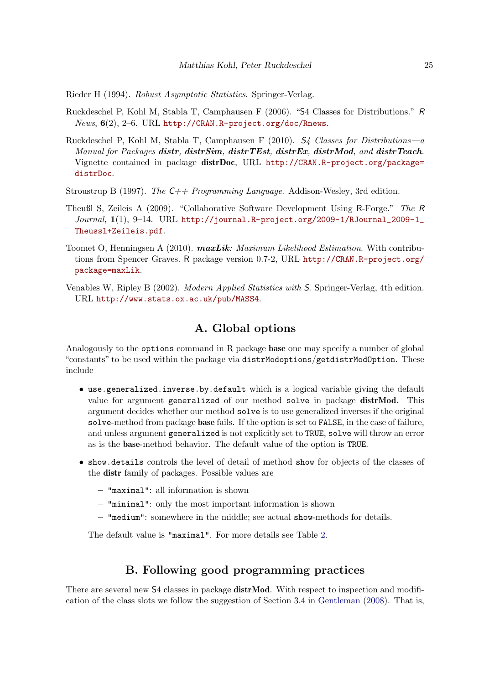<span id="page-24-5"></span>Rieder H (1994). Robust Asymptotic Statistics. Springer-Verlag.

- <span id="page-24-0"></span>Ruckdeschel P, Kohl M, Stabla T, Camphausen F (2006). "S4 Classes for Distributions." R  $News, 6(2), 2–6. URL http://CRAN.R-project.orgdoc/Rnews.$
- <span id="page-24-1"></span>Ruckdeschel P, Kohl M, Stabla T, Camphausen F (2010).  $S_4$  Classes for Distributions—a Manual for Packages distr, distr $Sim$ , distr $TEst$ , distr $Ex$ , distr $Mod$ , and distr $Teach$ . Vignette contained in package distrDoc, URL [http://CRAN.R-project.org/package=](http://CRAN.R-project.org/package=distrDoc) [distrDoc](http://CRAN.R-project.org/package=distrDoc).
- <span id="page-24-4"></span>Stroustrup B (1997). The  $C++$  Programming Language. Addison-Wesley, 3rd edition.
- <span id="page-24-3"></span>Theußl S, Zeileis A (2009). "Collaborative Software Development Using R-Forge." The R Journal, 1(1), 9–14. URL [http://journal.R-project.org/2009-1/RJournal\\_2009-1\\_](http://journal.R-project.org/2009-1/RJournal_2009-1_Theussl+Zeileis.pdf) [Theussl+Zeileis.pdf](http://journal.R-project.org/2009-1/RJournal_2009-1_Theussl+Zeileis.pdf).
- <span id="page-24-6"></span>Toomet O, Henningsen A (2010).  $maxLik:$  Maximum Likelihood Estimation. With contributions from Spencer Graves. R package version 0.7-2, URL [http://CRAN.R-project.org/](http://CRAN.R-project.org/package=maxLik) [package=maxLik](http://CRAN.R-project.org/package=maxLik).
- <span id="page-24-2"></span>Venables W, Ripley B (2002). Modern Applied Statistics with S. Springer-Verlag, 4th edition. URL <http://www.stats.ox.ac.uk/pub/MASS4>.

### A. Global options

<span id="page-24-7"></span>Analogously to the options command in R package base one may specify a number of global "constants" to be used within the package via distrModoptions/getdistrModOption. These include

- use.generalized.inverse.by.default which is a logical variable giving the default value for argument generalized of our method solve in package distrMod. This argument decides whether our method solve is to use generalized inverses if the original solve-method from package base fails. If the option is set to FALSE, in the case of failure, and unless argument generalized is not explicitly set to TRUE, solve will throw an error as is the base-method behavior. The default value of the option is TRUE.
- show.details controls the level of detail of method show for objects of the classes of the distr family of packages. Possible values are
	- "maximal": all information is shown
	- "minimal": only the most important information is shown
	- "medium": somewhere in the middle; see actual show-methods for details.

The default value is "maximal". For more details see Table [2.](#page-22-2)

# B. Following good programming practices

There are several new S4 classes in package **distrMod**. With respect to inspection and modification of the class slots we follow the suggestion of Section 3.4 in [Gentleman](#page-23-17) [\(2008\)](#page-23-17). That is,